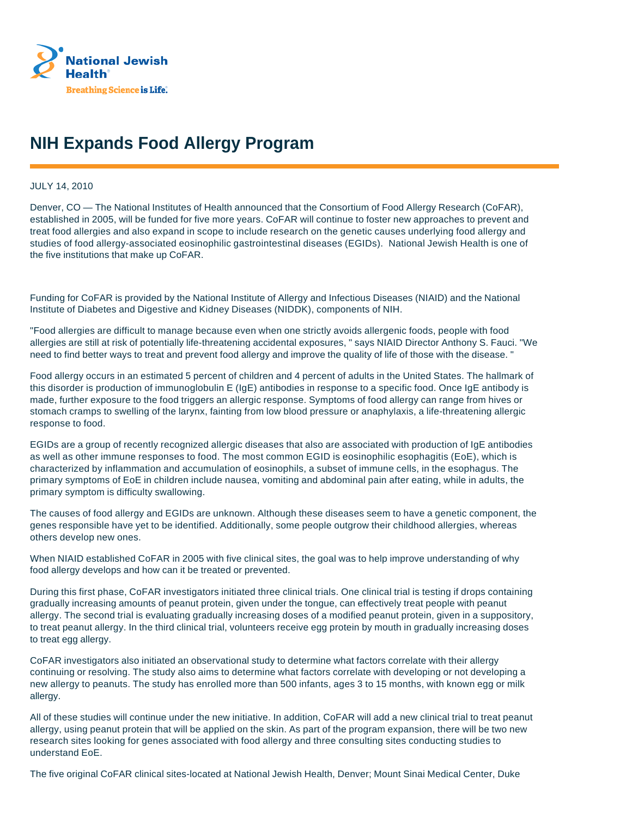

## **NIH Expands Food Allergy Program**

## JULY 14, 2010

Denver, CO — The National Institutes of Health announced that the Consortium of Food Allergy Research (CoFAR), established in 2005, will be funded for five more years. CoFAR will continue to foster new approaches to prevent and treat food allergies and also expand in scope to include research on the genetic causes underlying food allergy and studies of food allergy-associated eosinophilic gastrointestinal diseases (EGIDs). National Jewish Health is one of the five institutions that make up CoFAR.

Funding for CoFAR is provided by the National Institute of Allergy and Infectious Diseases (NIAID) and the National Institute of Diabetes and Digestive and Kidney Diseases (NIDDK), components of NIH.

"Food allergies are difficult to manage because even when one strictly avoids allergenic foods, people with food allergies are still at risk of potentially life-threatening accidental exposures, " says NIAID Director Anthony S. Fauci. "We need to find better ways to treat and prevent food allergy and improve the quality of life of those with the disease. "

Food allergy occurs in an estimated 5 percent of children and 4 percent of adults in the United States. The hallmark of this disorder is production of immunoglobulin E (IgE) antibodies in response to a specific food. Once IgE antibody is made, further exposure to the food triggers an allergic response. Symptoms of food allergy can range from hives or stomach cramps to swelling of the larynx, fainting from low blood pressure or anaphylaxis, a life-threatening allergic response to food.

EGIDs are a group of recently recognized allergic diseases that also are associated with production of IgE antibodies as well as other immune responses to food. The most common EGID is eosinophilic esophagitis (EoE), which is characterized by inflammation and accumulation of eosinophils, a subset of immune cells, in the esophagus. The primary symptoms of EoE in children include nausea, vomiting and abdominal pain after eating, while in adults, the primary symptom is difficulty swallowing.

The causes of food allergy and EGIDs are unknown. Although these diseases seem to have a genetic component, the genes responsible have yet to be identified. Additionally, some people outgrow their childhood allergies, whereas others develop new ones.

When NIAID established CoFAR in 2005 with five clinical sites, the goal was to help improve understanding of why food allergy develops and how can it be treated or prevented.

During this first phase, CoFAR investigators initiated three clinical trials. One clinical trial is testing if drops containing gradually increasing amounts of peanut protein, given under the tongue, can effectively treat people with peanut allergy. The second trial is evaluating gradually increasing doses of a modified peanut protein, given in a suppository, to treat peanut allergy. In the third clinical trial, volunteers receive egg protein by mouth in gradually increasing doses to treat egg allergy.

CoFAR investigators also initiated an observational study to determine what factors correlate with their allergy continuing or resolving. The study also aims to determine what factors correlate with developing or not developing a new allergy to peanuts. The study has enrolled more than 500 infants, ages 3 to 15 months, with known egg or milk allergy.

All of these studies will continue under the new initiative. In addition, CoFAR will add a new clinical trial to treat peanut allergy, using peanut protein that will be applied on the skin. As part of the program expansion, there will be two new research sites looking for genes associated with food allergy and three consulting sites conducting studies to understand EoE.

The five original CoFAR clinical sites-located at National Jewish Health, Denver; Mount Sinai Medical Center, Duke